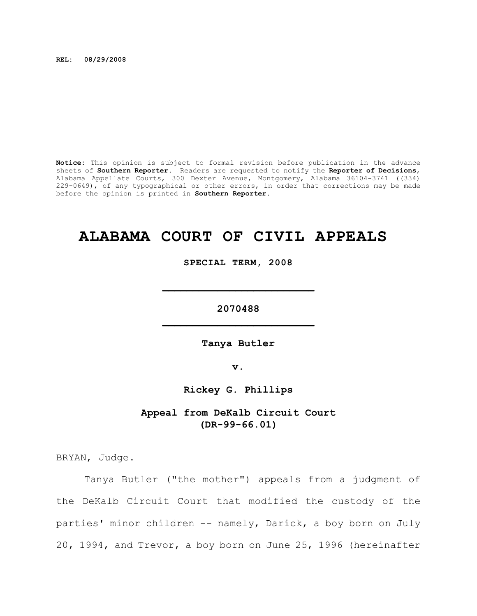**REL: 08/29/2008**

**Notice:** This opinion is subject to formal revision before publication in the advance sheets of **Southern Reporter**. Readers are requested to notify the **Reporter of Decisions**, Alabama Appellate Courts, 300 Dexter Avenue, Montgomery, Alabama 36104-3741 ((334) 229-0649), of any typographical or other errors, in order that corrections may be made before the opinion is printed in **Southern Reporter**.

# **ALABAMA COURT OF CIVIL APPEALS**

**SPECIAL TERM, 2008**

**\_\_\_\_\_\_\_\_\_\_\_\_\_\_\_\_\_\_\_\_\_\_\_\_\_**

**2070488 \_\_\_\_\_\_\_\_\_\_\_\_\_\_\_\_\_\_\_\_\_\_\_\_\_**

**Tanya Butler**

**v.**

**Rickey G. Phillips**

**Appeal from DeKalb Circuit Court (DR-99-66.01)**

BRYAN, Judge.

Tanya Butler ("the mother") appeals from a judgment of the DeKalb Circuit Court that modified the custody of the parties' minor children -- namely, Darick, a boy born on July 20, 1994, and Trevor, a boy born on June 25, 1996 (hereinafter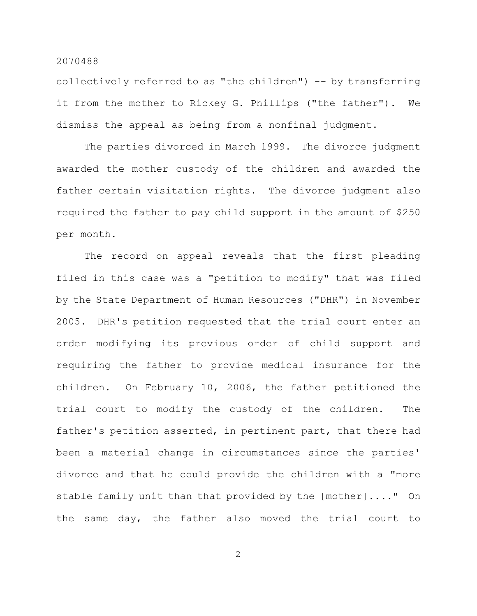collectively referred to as "the children") -- by transferring it from the mother to Rickey G. Phillips ("the father"). We dismiss the appeal as being from a nonfinal judgment.

The parties divorced in March 1999. The divorce judgment awarded the mother custody of the children and awarded the father certain visitation rights. The divorce judgment also required the father to pay child support in the amount of \$250 per month.

The record on appeal reveals that the first pleading filed in this case was a "petition to modify" that was filed by the State Department of Human Resources ("DHR") in November 2005. DHR's petition requested that the trial court enter an order modifying its previous order of child support and requiring the father to provide medical insurance for the children. On February 10, 2006, the father petitioned the trial court to modify the custody of the children. The father's petition asserted, in pertinent part, that there had been a material change in circumstances since the parties' divorce and that he could provide the children with a "more stable family unit than that provided by the [mother]...." On the same day, the father also moved the trial court to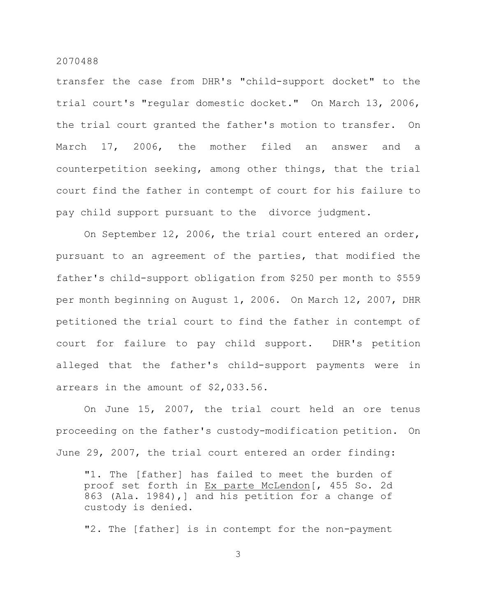transfer the case from DHR's "child-support docket" to the trial court's "regular domestic docket." On March 13, 2006, the trial court granted the father's motion to transfer. On March 17, 2006, the mother filed an answer and a counterpetition seeking, among other things, that the trial court find the father in contempt of court for his failure to pay child support pursuant to the divorce judgment.

On September 12, 2006, the trial court entered an order, pursuant to an agreement of the parties, that modified the father's child-support obligation from \$250 per month to \$559 per month beginning on August 1, 2006. On March 12, 2007, DHR petitioned the trial court to find the father in contempt of court for failure to pay child support. DHR's petition alleged that the father's child-support payments were in arrears in the amount of \$2,033.56.

On June 15, 2007, the trial court held an ore tenus proceeding on the father's custody-modification petition. On June 29, 2007, the trial court entered an order finding:

"1. The [father] has failed to meet the burden of proof set forth in Ex parte McLendon[, 455 So. 2d 863 (Ala. 1984),] and his petition for a change of custody is denied.

"2. The [father] is in contempt for the non-payment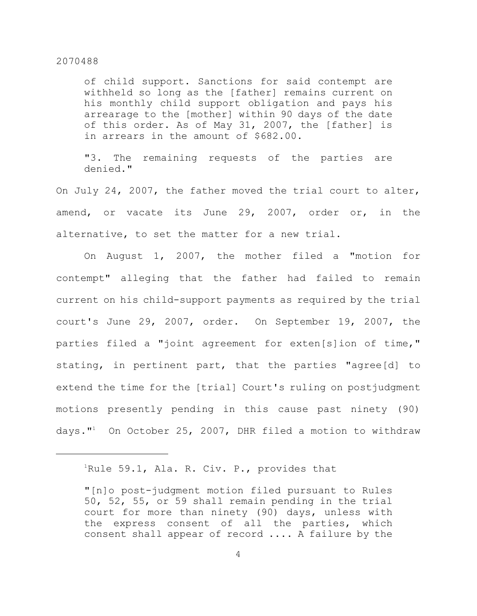of child support. Sanctions for said contempt are withheld so long as the [father] remains current on his monthly child support obligation and pays his arrearage to the [mother] within 90 days of the date of this order. As of May 31, 2007, the [father] is in arrears in the amount of \$682.00.

"3. The remaining requests of the parties are denied."

On July 24, 2007, the father moved the trial court to alter, amend, or vacate its June 29, 2007, order or, in the alternative, to set the matter for a new trial.

On August 1, 2007, the mother filed a "motion for contempt" alleging that the father had failed to remain current on his child-support payments as required by the trial court's June 29, 2007, order. On September 19, 2007, the parties filed a "joint agreement for exten[s]ion of time," stating, in pertinent part, that the parties "agree[d] to extend the time for the [trial] Court's ruling on postjudgment motions presently pending in this cause past ninety (90) days."<sup>1</sup> On October 25, 2007, DHR filed a motion to withdraw

 $1$ Rule 59.1, Ala. R. Civ. P., provides that

<sup>&</sup>quot;[n]o post-judgment motion filed pursuant to Rules 50, 52, 55, or 59 shall remain pending in the trial court for more than ninety (90) days, unless with the express consent of all the parties, which consent shall appear of record .... A failure by the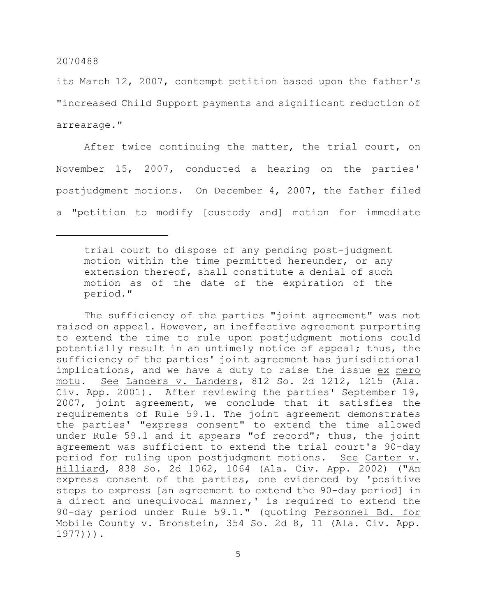its March 12, 2007, contempt petition based upon the father's "increased Child Support payments and significant reduction of arrearage."

After twice continuing the matter, the trial court, on November 15, 2007, conducted a hearing on the parties' postjudgment motions. On December 4, 2007, the father filed a "petition to modify [custody and] motion for immediate

The sufficiency of the parties "joint agreement" was not raised on appeal. However, an ineffective agreement purporting to extend the time to rule upon postjudgment motions could potentially result in an untimely notice of appeal; thus, the sufficiency of the parties' joint agreement has jurisdictional implications, and we have a duty to raise the issue ex mero motu. See Landers v. Landers, 812 So. 2d 1212, 1215 (Ala. Civ. App. 2001). After reviewing the parties' September 19, 2007, joint agreement, we conclude that it satisfies the requirements of Rule 59.1. The joint agreement demonstrates the parties' "express consent" to extend the time allowed under Rule 59.1 and it appears "of record"; thus, the joint agreement was sufficient to extend the trial court's 90-day period for ruling upon postjudgment motions. See Carter v. Hilliard, 838 So. 2d 1062, 1064 (Ala. Civ. App. 2002) ("An express consent of the parties, one evidenced by 'positive steps to express [an agreement to extend the 90-day period] in a direct and unequivocal manner,' is required to extend the 90-day period under Rule 59.1." (quoting Personnel Bd. for Mobile County v. Bronstein, 354 So. 2d 8, 11 (Ala. Civ. App. 1977))).

trial court to dispose of any pending post-judgment motion within the time permitted hereunder, or any extension thereof, shall constitute a denial of such motion as of the date of the expiration of the period."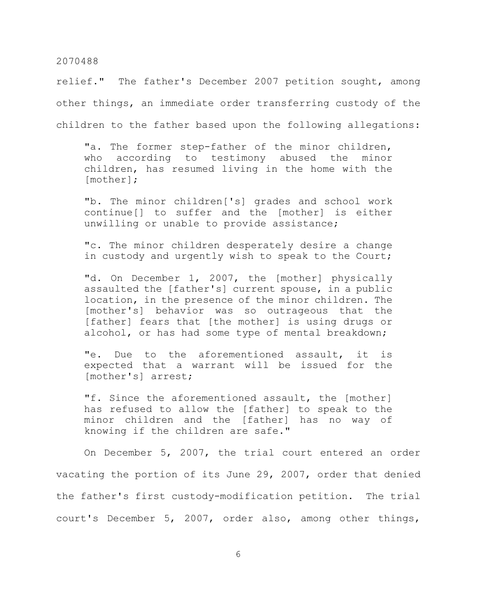relief." The father's December 2007 petition sought, among other things, an immediate order transferring custody of the children to the father based upon the following allegations:

"a. The former step-father of the minor children, who according to testimony abused the minor children, has resumed living in the home with the [mother];

"b. The minor children['s] grades and school work continue[] to suffer and the [mother] is either unwilling or unable to provide assistance;

"c. The minor children desperately desire a change in custody and urgently wish to speak to the Court;

"d. On December 1, 2007, the [mother] physically assaulted the [father's] current spouse, in a public location, in the presence of the minor children. The [mother's] behavior was so outrageous that the [father] fears that [the mother] is using drugs or alcohol, or has had some type of mental breakdown;

"e. Due to the aforementioned assault, it is expected that a warrant will be issued for the [mother's] arrest;

"f. Since the aforementioned assault, the [mother] has refused to allow the [father] to speak to the minor children and the [father] has no way of knowing if the children are safe."

On December 5, 2007, the trial court entered an order vacating the portion of its June 29, 2007, order that denied the father's first custody-modification petition. The trial court's December 5, 2007, order also, among other things,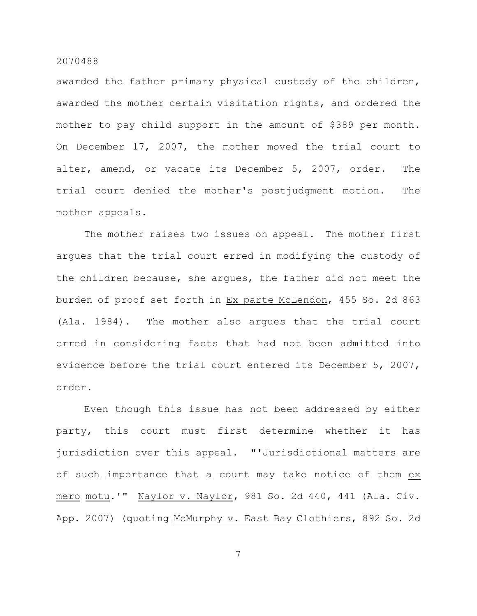awarded the father primary physical custody of the children, awarded the mother certain visitation rights, and ordered the mother to pay child support in the amount of \$389 per month. On December 17, 2007, the mother moved the trial court to alter, amend, or vacate its December 5, 2007, order. The trial court denied the mother's postjudgment motion. The mother appeals.

The mother raises two issues on appeal. The mother first argues that the trial court erred in modifying the custody of the children because, she argues, the father did not meet the burden of proof set forth in Ex parte McLendon, 455 So. 2d 863 (Ala. 1984). The mother also argues that the trial court erred in considering facts that had not been admitted into evidence before the trial court entered its December 5, 2007, order.

Even though this issue has not been addressed by either party, this court must first determine whether it has jurisdiction over this appeal. "'Jurisdictional matters are of such importance that a court may take notice of them ex mero motu.'" Naylor v. Naylor, 981 So. 2d 440, 441 (Ala. Civ. App. 2007) (quoting McMurphy v. East Bay Clothiers, 892 So. 2d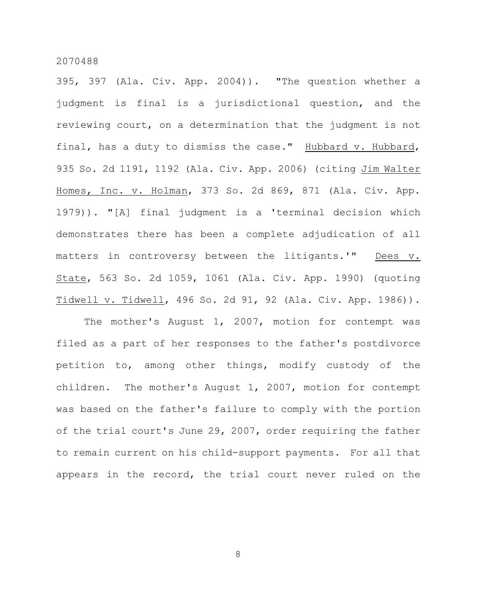395, 397 (Ala. Civ. App. 2004)). "The question whether a judgment is final is a jurisdictional question, and the reviewing court, on a determination that the judgment is not final, has a duty to dismiss the case." Hubbard v. Hubbard, 935 So. 2d 1191, 1192 (Ala. Civ. App. 2006) (citing Jim Walter Homes, Inc. v. Holman, 373 So. 2d 869, 871 (Ala. Civ. App. 1979)). "[A] final judgment is a 'terminal decision which demonstrates there has been a complete adjudication of all matters in controversy between the litigants.'" Dees v. State, 563 So. 2d 1059, 1061 (Ala. Civ. App. 1990) (quoting Tidwell v. Tidwell, 496 So. 2d 91, 92 (Ala. Civ. App. 1986)).

The mother's August 1, 2007, motion for contempt was filed as a part of her responses to the father's postdivorce petition to, among other things, modify custody of the children. The mother's August 1, 2007, motion for contempt was based on the father's failure to comply with the portion of the trial court's June 29, 2007, order requiring the father to remain current on his child-support payments. For all that appears in the record, the trial court never ruled on the